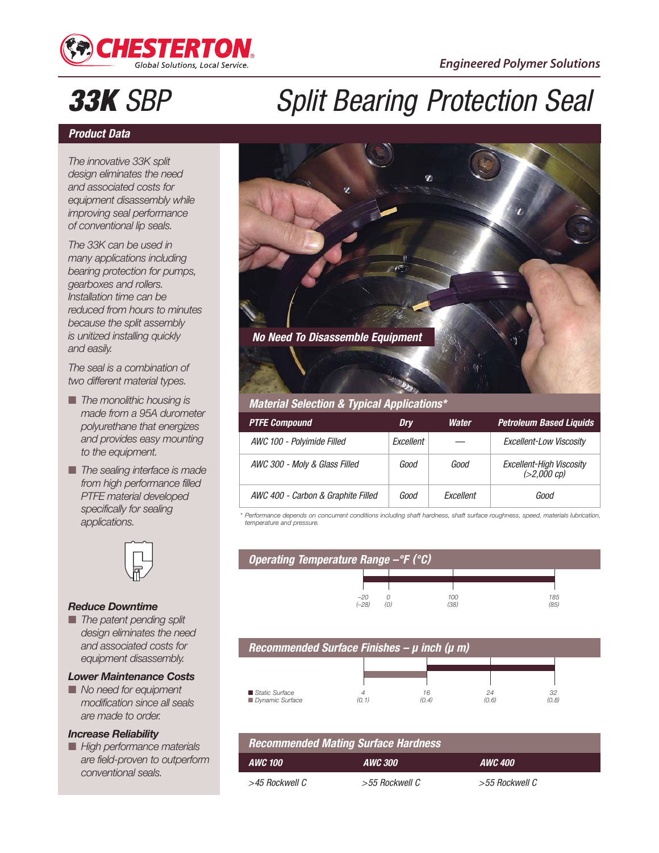

# **33K** SBP Split Bearing Protection Seal

### **Product Data**

*The innovative 33K split design eliminates the need and associated costs for equipment disassembly while improving seal performance of conventional lip seals.*

*The 33K can be used in many applications including bearing protection for pumps, gearboxes and rollers. Installation time can be reduced from hours to minutes because the split assembly is unitized installing quickly and easily.*

*The seal is a combination of two different material types.*

- *The monolithic housing is made from a 95A durometer polyurethane that energizes and provides easy mounting to the equipment.*
- *The sealing interface is made from high performance filled PTFE material developed specifically for sealing applications.*



#### *Reduce Downtime*

■ *The patent pending split design eliminates the need and associated costs for equipment disassembly.*

#### *Lower Maintenance Costs*

■ *No need for equipment modification since all seals are made to order.*

#### *Increase Reliability*

■ *High performance materials are field-proven to outperform conventional seals.*



| <b>PTFE Compound</b>               | Drv       | Water     | <b>Petroleum Based Liquids</b>          |
|------------------------------------|-----------|-----------|-----------------------------------------|
| AWC 100 - Polyimide Filled         | Excellent |           | Excellent-Low Viscosity                 |
| AWC 300 - Moly & Glass Filled      | Good      | Good      | Excellent-High Viscosity<br>(>2,000 cp) |
| AWC 400 - Carbon & Graphite Filled | Good      | Fxcellent | Good                                    |

*\* Performance depends on concurrent conditions including shaft hardness, shaft surface roughness, speed, materials lubrication, temperature and pressure.*





### **AWC 100 AWC 300 AWC 400 Recommended Mating Surface Hardness** >45 Rockwell C >55 Rockwell C >55 Rockwell C